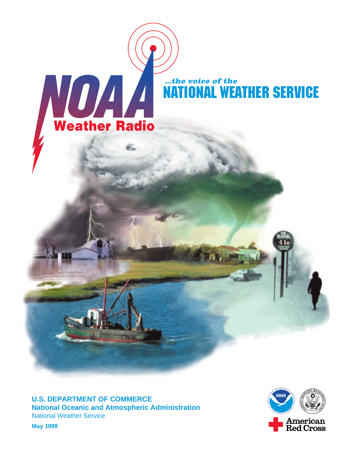

**U.S. DEPARTMENT OF COMMERCE National Oceanic and Atmospheric Administration** National Weather Service



**May 1999**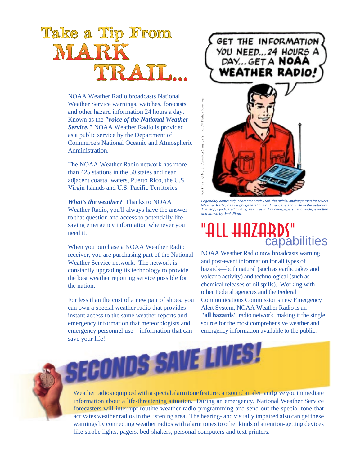# Take a Tip From MAR

NOAA Weather Radio broadcasts National Weather Service warnings, watches, forecasts and other hazard information 24 hours a day. Known as the *"voice of the National Weather Service,"* NOAA Weather Radio is provided as a public service by the Department of Commerce's National Oceanic and Atmospheric Administration.

The NOAA Weather Radio network has more than 425 stations in the 50 states and near adjacent coastal waters, Puerto Rico, the U.S. Virgin Islands and U.S. Pacific Territories.

*What's the weather?* Thanks to NOAA Weather Radio, you'll always have the answer to that question and access to potentially lifesaving emergency information whenever you need it.

When you purchase a NOAA Weather Radio receiver, you are purchasing part of the National Weather Service network. The network is constantly upgrading its technology to provide the best weather reporting service possible for the nation.

For less than the cost of a new pair of shoes, you can own a special weather radio that provides instant access to the same weather reports and emergency information that meteorologists and emergency personnel use—information that can save your life!

# GET THE INFORMATION YOU NEED...24 HOURS A **WEATHER RADIO!**



Legendary comic strip character Mark Trail, the official spokesperson for NOAA Weather Radio, has taught generations of Americans about life in the outdoors. The strip, syndicated by King Features in 175 newspapers nationwide, is written

# L HHZHRDS"<br>capabilities

NOAA Weather Radio now broadcasts warning and post-event information for all types of hazards—both natural (such as earthquakes and volcano activity) and technological (such as chemical releases or oil spills). Working with other Federal agencies and the Federal Communications Commission's new Emergency Alert System, NOAA Weather Radio is an **"all hazards"** radio network, making it the single source for the most comprehensive weather and emergency information available to the public.



Weather radios equipped with a special alarm tone feature can sound an alert and give you immediate information about a life-threatening situation. During an emergency, National Weather Service forecasters will interrupt routine weather radio programming and send out the special tone that activates weather radios in the listening area. The hearing- and visually impaired also can get these warnings by connecting weather radios with alarm tones to other kinds of attention-getting devices like strobe lights, pagers, bed-shakers, personal computers and text printers.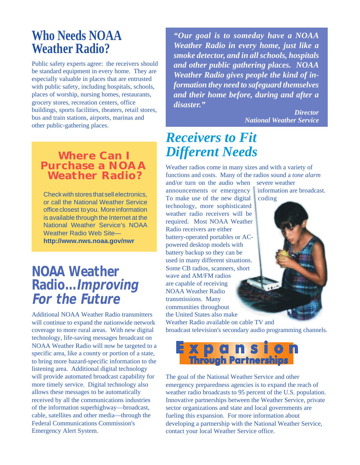# **Who Needs NOAA Weather Radio?**

Public safety experts agree: the receivers should be standard equipment in every home. They are especially valuable in places that are entrusted with public safety, including hospitals, schools, places of worship, nursing homes, restaurants, grocery stores, recreation centers, office buildings, sports facilities, theaters, retail stores, bus and train stations, airports, marinas and other public-gathering places.

### **Where Can I Purchase a NOAA Weather Radio?**

Check with stores that sell electronics, or call the National Weather Service office closest to you. More information is available through the Internet at the National Weather Service's NOAA Weather Radio Web Site **http://www.nws.noaa.gov/nwr**

# **NOAA Weather Radio...Improving For the Future**

Additional NOAA Weather Radio transmitters will continue to expand the nationwide network coverage to more rural areas. With new digital technology, life-saving messages broadcast on NOAA Weather Radio will now be targeted to a specific area, like a county or portion of a state, to bring more hazard-specific information to the listening area. Additional digital technology will provide automated broadcast capability for more timely service. Digital technology also allows these messages to be automatically received by all the communications industries of the information superhighway—broadcast, cable, satellites and other media—through the Federal Communications Commission's Emergency Alert System.

*"Our goal is to someday have a NOAA Weather Radio in every home, just like a smoke detector, and in all schools, hospitals and other public gathering places. NOAA Weather Radio gives people the kind of information they need to safeguard themselves and their home before, during and after a disaster."*

> *Director National Weather Service*

# *Receivers to Fit Different Needs*

Weather radios come in many sizes and with a variety of functions and costs. Many of the radios sound a *tone alarm* and/or turn on the audio when severe weather

announcements or emergency information are broadcast. To make use of the new digital coding technology, more sophisticated weather radio receivers will be required. Most NOAA Weather Radio receivers are either battery-operated portables or ACpowered desktop models with battery backup so they can be used in many different situations. Some CB radios, scanners, short wave and AM/FM radios are capable of receiving NOAA Weather Radio transmissions. Many communities throughout the United States also make

Weather Radio available on cable TV and broadcast television's secondary audio programming channels.



The goal of the National Weather Service and other emergency preparedness agencies is to expand the reach of weather radio broadcasts to 95 percent of the U.S. population. Innovative partnerships between the Weather Service, private sector organizations and state and local governments are fueling this expansion. For more information about developing a partnership with the National Weather Service, contact your local Weather Service office.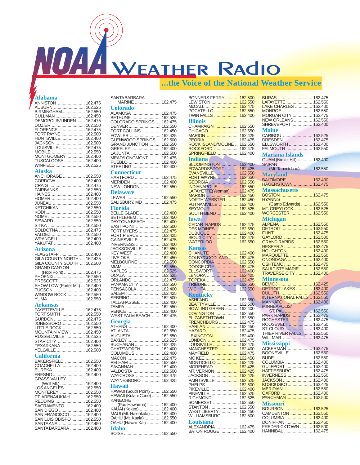# WOAA WEATHER RAdio

### **...the Voice of the National Weather Service**

### **Alabama**

| ________                       |                    |
|--------------------------------|--------------------|
| <b>ANNISTON</b>                | 162.475            |
|                                |                    |
| AUBURN                         | 162.525            |
| BIRMINGHAM                     | 162.550            |
|                                |                    |
| CULLMAN                        | 162.450            |
| DEMOPOLIS/LINDEN               | 162.475            |
|                                |                    |
| DOZIER                         | 162.550            |
|                                |                    |
| FLORENCE                       | 162.475            |
| FORT PAYNE                     | 162.500            |
|                                |                    |
| <b>HUNTSVILLE</b>              | 162.400            |
| JACKSON                        | 162.500            |
|                                |                    |
| LOUISVILLE                     | 162.475            |
| MOBILE<br>MONTGOMERY           | 162.550            |
|                                |                    |
|                                | 162.400            |
| TUSCALOOSA                     | 162.400            |
|                                |                    |
| WINFIELD                       | 162.525            |
|                                |                    |
| Alaska                         |                    |
|                                |                    |
| <b>ANCHORAGE</b>               | 162.550            |
|                                |                    |
| CORDOVA                        | 162.400            |
| CRAIG                          | 162.475            |
|                                |                    |
| FAIRBANKS                      | 162.550            |
| HAINES                         | 162.400            |
|                                |                    |
| <b>HOMER</b>                   | 162.400            |
| JUNEAU                         | 162.550            |
|                                |                    |
| KETCHIKAN                      | 162.550            |
|                                | 162.550            |
| KODI                           |                    |
| NOME                           | 162.550            |
|                                | 162.550            |
| SEWARD                         |                    |
| SITKA                          | 162.550            |
|                                |                    |
| SOLDOTNA                       | 162.475            |
| VALDEZ                         | 162.550            |
|                                |                    |
| WRANGELL                       | 162.400            |
| YAKUTAT                        | 162.400            |
|                                |                    |
| Arizona                        |                    |
|                                |                    |
|                                | 162.400            |
| FLAGSTAFF<br>GILA COUNTY NORTH |                    |
|                                | 162.425            |
|                                |                    |
|                                |                    |
| GILA COUNTY SOUTH              | 162.500            |
| <b>GRAND CANYON</b>            |                    |
|                                |                    |
| $(Hopi Point)$                 | 162.475            |
|                                | 162.550            |
| PHOENIX                        |                    |
| PRESCOTT                       | 162.525            |
|                                | 162.400            |
| SHOW LOW (Porter Mt.)          |                    |
| TUCSON                         | 162.400            |
|                                | 162.550            |
| <b>WINDOW ROCK</b>             |                    |
| YUMA                           | 162.550            |
|                                |                    |
| Arkansas                       |                    |
|                                |                    |
| FAYETTEVILLE                   | 162.475            |
| FORT SMITH                     | 162.550            |
|                                |                    |
| GURDON                         | 162.475            |
|                                | 162.550            |
| JONESBORO                      |                    |
| LITTLE ROCK                    | 162.550            |
|                                | 162.450            |
|                                |                    |
| MOUNTAIN VIEW<br>RUSSELLVILLE  | 162.525            |
|                                | 162.400            |
| STAR CITY                      |                    |
| TEXARKANA                      | 162.550            |
|                                | 162.500            |
| <b>YELLVILLE</b>               |                    |
| <b>California</b>              |                    |
|                                |                    |
| BAKERSFIELD                    | 162.550            |
|                                |                    |
| COACHELLA                      | 162.400            |
| EUREKA                         | 162.400            |
|                                |                    |
|                                | 162.400            |
| FRESNO<br>GRASS VALLEY         |                    |
|                                |                    |
| (Wolf Mt.)                     | 162.400            |
| LOS ANGELES                    | 162.550            |
|                                |                    |
|                                | 162.550            |
| MONTEREY<br>PT. ARENA/UKIAH    | 162.550            |
|                                |                    |
| REDDING                        | 162.550            |
| SACRAMENTO                     | 162.400            |
|                                |                    |
| SAN DIEGO                      | 162.400            |
| SAN FRANCISCO                  | 162.400            |
|                                |                    |
| SAN LUIS OBISPO<br>SANTA ANA   | 162.550<br>162.450 |

SANTA BARBARA ............ 162.400

| SANTABARBARA<br>MARINE  162.475                        |         |
|--------------------------------------------------------|---------|
| Colorado                                               |         |
| ALAMOSA  162.475                                       |         |
|                                                        | 162.525 |
| BETHUNE<br>COLORADO SPRINGS                            | 162.475 |
|                                                        | 162.550 |
| DENVER<br>FORT COLLINS                                 |         |
|                                                        | 162.450 |
| FOWLER<br>GLENWOOD SPRINGS                             | 162.425 |
|                                                        | 162.500 |
| <b>GRAND JUNCTION </b>                                 | 162.550 |
| GREELEY                                                | 162.400 |
| LA JUNTA                                               | 162.500 |
| MEAD/LONGMONT                                          | 162.475 |
| PUEBLO                                                 | 162.400 |
| STERLING                                               | 162.400 |
| <b>Connecticut</b>                                     |         |
| <b>HARTFORD</b>                                        | 162.475 |
| MERIDEN                                                | 162.400 |
| NEW LONDON  162.550                                    |         |
|                                                        |         |
| <b>Delaware</b>                                        |         |
| LEWES  162.550<br>SALISBURY, MD  162. <mark>475</mark> |         |
|                                                        |         |
| <b>Florida</b>                                         |         |
| <b>BELLE GLADE </b>                                    | 162.400 |
| <b>BETHLEHEM</b> <mark>.</mark>                        | 162.450 |
| DAYTONA BEACH <mark></mark>                            | 162.400 |
| <b>EAST POINT </b>                                     | 162.500 |
| FORT MYERS <mark></mark>                               | 162.475 |
| FORT PIERCE <mark>.</mark>                             |         |
|                                                        | 162.425 |
| GAINESVILLE <mark>.</mark>                             | 162.475 |
| INVERNESS <mark>.</mark>                               | 162.400 |
| JACKSONVILLE <mark></mark>                             | 162.550 |
|                                                        | 162,400 |
|                                                        | 162.450 |
| KEY WEST<br>LIVE OKA <mark></mark><br>MELBOURNE        | 162.550 |
| MIAMI                                                  | 162.550 |
| NAPLES                                                 | 162.525 |
| OCALA                                                  | 162.525 |
| ORLANDO<br>PANAMA CITY                                 | 162.475 |
|                                                        | 162.550 |
| PENSACOLA                                              | 162.400 |
| SALEM                                                  | 162.425 |
|                                                        | 162.500 |
| SEBRING<br>TALLAHASSEE                                 |         |
|                                                        | 162.400 |
| TAMPA                                                  | 162.550 |
| VENICE<br>WEST PALM BEACH                              | 162.400 |
|                                                        | 162.475 |
| Georgia                                                |         |
| ATHENS                                                 | 162.400 |
| ATLANTA                                                | 162.550 |
| AUGUSTA  162.550                                       |         |
| BAXLEY                                                 | 162.525 |
| BUCHANAN                                               | 162.425 |
| CHATSWORTH  162.400                                    |         |
| COLUMBUS  162.400                                      |         |
|                                                        | 162.475 |
|                                                        |         |
| PELHAM  162.550                                        |         |
| SAVANNAH  162.400                                      |         |
| VALDOSTA  162.500<br>WAYCROSS  162.475                 |         |
|                                                        |         |
| WAYNESBORO  162.425                                    |         |
| Hawaii                                                 |         |
| HAWAII (South Point)  162.550                          |         |
| HAWAII (Kulani Cone)  162.550                          |         |
| KANEOHE                                                |         |
| (Puu Hawaiiloa)  162.400                               |         |
| KAUAI (Kokee)  162.400                                 |         |
| MAUI (Mt. Haleakala)  162.400                          |         |
| OAHU (Mt. Kaala)  162.550                              |         |
|                                                        |         |
| OAHU (Hawaii Kai)  162.400                             |         |
| Idaho                                                  |         |
| BOISE  162.550                                         |         |

| BONNERS FERRY                                                      | 162.500            |
|--------------------------------------------------------------------|--------------------|
| LEWISTON                                                           | 162.550            |
| McCALL                                                             | 162.475<br>162.550 |
| TWIN FALLS                                                         | 162.400            |
| <b>Illinois</b>                                                    |                    |
| CHAMPAIGN                                                          | 162.550            |
| CHICAGO<br>MARION                                                  | 162.550<br>162.425 |
| <mark>PEORIA </mark><br>ROCK ISLAND/MOLINE                         | 162.475            |
|                                                                    | 162.550            |
| ROCKFORD<br>SPRINGFIELD                                            | 162.475<br>162.400 |
| <b>Indiana</b>                                                     |                    |
| BLOOMINGTON                                                        | 162.400            |
| EDWARDSSPORT<br>EVANSVILLE                                         | 162.425            |
| FORT WAYNE                                                         | 162.550<br>162.550 |
|                                                                    | 162.550            |
| <b>INDIANAPOLIS</b>                                                | 162.550            |
| LAFAYETTE(Yeoman)<br><b>MARION</b>                                 | 162.475<br>162.450 |
| NORTH WEBSTER                                                      | 162.450            |
| PUTNAMVILLE                                                        | 162.400            |
| SEYMOUR<br><b>SOUTH BEND </b>                                      | 162.525<br>162.400 |
| <b>Iowa</b>                                                        |                    |
| CEDAR RAPIDS                                                       | 162.475            |
| <b>DES MOINES </b>                                                 | 162.550            |
|                                                                    | 162.400            |
| <b>SIOUX CITY </b><br><b>WATERLOO </b>                             | 162.475<br>162.550 |
| <b>Kansas</b>                                                      |                    |
| <b>CHANUTE</b>                                                     | 162.400            |
| COLBY/GOODLAND                                                     | 162.475            |
| CONCORDIA<br>DODGE CITY                                            | 162.550<br>162.475 |
| <b>ELLSWORTH</b>                                                   | 162.400            |
| LENORA                                                             | 162.425            |
| <b>TOPEKA </b>                                                     | 162.475<br>162.550 |
| <b>WICHITA </b>                                                    | 162.550            |
| <b>Kentucky</b>                                                    |                    |
| <b>ASHLAND</b><br>BEATTYVILLE                                      | 162.550            |
| <b>BOWLING GREEN </b>                                              | 162.500<br>162.400 |
| <b>COVINGTON</b>                                                   | 162.550            |
| ELIZABETHTOWN                                                      | 162.550            |
| <b>FRENCHBURG</b><br><b>HARLAN</b>                                 | 162.475<br>162.450 |
|                                                                    | 162.475            |
| LEXINGTON                                                          | 162.400            |
| LONDON<br>LOUSIVILLE                                               | 162.475<br>162.475 |
| MANCHESTER                                                         | 162.400            |
| MAYFIELD                                                           | 162.475            |
| MONTICELLO                                                         | 162.450<br>162.425 |
| MOREHEAD                                                           | 162.425            |
| MT. VERNON                                                         | 162.425            |
| JACKSON<br>PAINTSVILLE                                             | 162.425<br>162.525 |
|                                                                    | 162.500            |
|                                                                    | 162.400            |
| PINEVILLE <mark></mark><br>RICHMOND                                | 162.525<br>162.525 |
| SOMERSET                                                           | 162.550            |
|                                                                    |                    |
| STANTON  162.550<br>WEST LIBERTY  162.450<br>WILLIAMSBURG  162.500 |                    |
| Louisiana                                                          |                    |
| ALEXANDRIA  162.475                                                |                    |
| BATON ROUGE  162.400                                               |                    |

| <mark>BURAS </mark><br>LAFAYETTE<br>LAKE CHARLES<br>MONROE<br>MORGAN CITY<br><b>NEW ORLEANS</b> | 162.475<br>162.550<br>162.400<br>162.550<br>162.475<br>162.550 |
|-------------------------------------------------------------------------------------------------|----------------------------------------------------------------|
| SHREVEPORT<br><b>Maine</b><br>CARIBOU<br>DRESDEN<br>ELLSWORTH                                   | 162.400<br>162.525<br>162.475<br>162.400                       |
| FALMOUTH<br><b>Mariana Islands</b>                                                              | 162.550                                                        |
| GUAM (Nimitz Hill)  162.400<br><b>SAIPAN</b>                                                    |                                                                |
| (Mt. Tapoctchau)<br><b>Maryland</b>                                                             | 162.550                                                        |
| BALTIMORE                                                                                       | 162.400                                                        |
| HAGERSTOWN  162.475                                                                             |                                                                |
| <b>Massachusetts</b><br>BOSTON                                                                  | 162.475                                                        |
| <b>HYANNIS</b><br>(Camp Edwards)                                                                |                                                                |
| <b>GREYLOCK</b><br>MT.                                                                          | 162.550<br>162.525                                             |
| WORCESTER<br>Michigan                                                                           | 162.550                                                        |
| ALPENA                                                                                          | 162.550                                                        |
| DETROIT<br>FLINT                                                                                | 162.550<br>162.475                                             |
| GAYLORD<br>GRAND RAPIDS                                                                         | 162.500                                                        |
| HESPERIA                                                                                        | 162.550<br>162.475                                             |
|                                                                                                 | 162.400                                                        |
| HOUGHTON<br>MARQUETTE                                                                           | 162.550                                                        |
| <b>ONONDAGA </b><br><b>OSHTEMO</b>                                                              | 162.400<br>162.475                                             |
| SAULT STE MARIE                                                                                 | 162.550                                                        |
| TRAVERSE CITY                                                                                   | 162.400                                                        |
| Minnesota                                                                                       |                                                                |
| <b>BEMIDJI </b><br>DETROIT LAKES                                                                | 162.425<br>162.400                                             |
|                                                                                                 | 162.550                                                        |
| DULUTH<br>INTERNATIONAL FALLS                                                                   | 162.550                                                        |
| <b>MANKATO </b><br>. <u>.</u><br><b>MINNEAPOLIS/</b>                                            | 162.400                                                        |
| ST. PAUL                                                                                        | 162.550                                                        |
| PARK RAPIDS                                                                                     | 162.475                                                        |
|                                                                                                 | 162.475<br>162.450                                             |
|                                                                                                 | 162.400                                                        |
| THIEF RIVER FALLS                                                                               | 162.550                                                        |
| <b>WILLMAR</b>                                                                                  | 162.475                                                        |
| <b>Mississippi</b><br>ACKERMAN                                                                  | 162.475                                                        |
| BOONEVILLE  162.550                                                                             |                                                                |
| BUDE<br>                                                                                        | 162.550                                                        |
| COLUMBIA<br>GULFPORT                                                                            | 162.400<br>162.400                                             |
| <b>HATTIESBURG</b>                                                                              | 162.475                                                        |
| INVERNESS                                                                                       | 162.550                                                        |
| JACKSON<br>KOSCIUSKO                                                                            | 162.400<br>162.425                                             |
| <b>MERIDIAN</b>                                                                                 | 162.550                                                        |
| OXFORD                                                                                          | 162.400                                                        |
| PARCHMAN                                                                                        | 162,500                                                        |
| <b>Missouri</b>                                                                                 |                                                                |
| BOURBON<br>CAMDENTON                                                                            | 162.525<br>162.550                                             |
| COLUMBIA                                                                                        | 162.400                                                        |
| DONIPHAN <mark></mark><br>FREDERICKTOWN                                                         | 162.450<br>162.500                                             |
| HANNIBAL  162.475                                                                               |                                                                |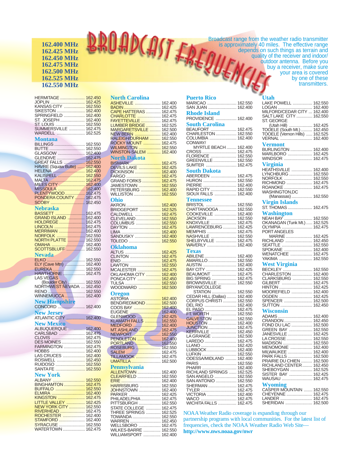### **162.400 MHz 162.425 MHz 162.450 MHz 162.475 MHz 162.500 MHz 162.525 MHz 162.550 MHz**

HERMITAGE .................... 162.450 JOPLIN ............................ 162.425 KANSAS CITY ................. 162.550 SIKESTON ........................ 162.400 SPRINGFIELD ................. 162.400 ST. JOSEPH .................... 162.400 ST. LOUIS ........................ 162.550 SUMMERSVILLE ............. 162.475 WARDELL ....................... 162.525 **Montana** BILLINGS ......................... 162.550 BUTTE ............................. 162.550 GLASGOW ...................... 162.400 GLENDIVE ....................... 162.475 GREAT FALLS ................. 162.550 HAVRE (Squaw Butte) ...... 162.400 HELENA .......................... 162.400 KALISPELL ...................... 162.550 MALTA *...*............................. 162.475<br>MILES CITY ..................... 162.400 MISSOULA ...................... 162.400<br>PLENTYWOOD ................ 162.475<br>PONDERA COUNTY ........ 162.475 SCOBY ............................ 162.450 **Nebraska** BASSETT ........................ 162.475 GRAND ISLAND .............. 162.400 HOLDREGE..................... 162.475 LINCOLN ........................... 162.475<br>MERRIMAN ...................... 162.400<br>NORFOLK ...................... 162.550<br><mark>NORTH PLATTE</mark> .............. 162.550 <mark>ОМАНА ........................</mark>...... 162.400<br>SCOTTSBLUFF ............... 162.550 **Nevada** ELKO ............................... 162.550 ELY (Cave Mtn) ................ 162.400 EUREKA ................................ 162.550<br>HAWTHORNE ..................... 162.475 LAS VEGAS<br>(Boulde<mark>r Ci</mark>ty) .............. 162.550<br>NORTHWE<mark>ST N</mark>EVADA ... 162.450 RENO .............................. 162.550 WINNEMUCCA ................ 162.400 **New Hampshire** CONCORD ...................... 162.400 **New Jersey** ATLANTIC CITY ............... 162.400 **New Mexico** ALBUQUERQUE.............. 162.400 CARLSBAD ..................... 162.475 CLOVIS ........................... 162.475 DES MOINES................... 162.550 FARMINGTON ................. 162.475 HOBBS ............................ 162.400 LAS CRUCES .................. 162.400 ROSWELL ....................... 162.450 RUIDOSO ........................ 162.550 SANTA FE ......................... 162.550 **New York** ALBANY ........................... 162.<mark>550</mark><br>BINGHAMTON .................. 162.475 BUFFALO ........................ 162.550 ELMIRA ........................... 162.400 KINGSTON ...................... 162.475 LITTLE VALLEY ............... 162.425 NEW YORK CITY ............. 162.550 RIVERHEAD .................... 162.475

ROCHESTER .................. 162.400 STAMFORD ..................... 162.400 SYRACUSE ..................... 162.550 WATERTOWN .................. 162.475 **North Carolina** ASHEVILLE ..................... 162.400 BADIN .............................. 162.425 CAPE HATTERAS ............ 162.475 CHARLOTTE ................... 162.475 FAYETTEVILLE ................ 162.475 LUMBER BRIDGE ............ 162.525 MARGARETSVILLE ......... 162.500 <mark>NEW BERN ......................</mark> 162.400<br>RALEIGH/DURHAM ......... 162.550 ROCKY MOUNT .............. 162.475 WILMINGTON .................. 162.550 WINSTON-SALEM ........... 162.400 **North Dakota** <mark>B</mark>ISMARK............................ 162.475<br>DEVILS LAKE .................... 162.425<br>DICKINSON ..................... 162.400 FARGO ............................ 162.475 GRAND FORKS ............... 162.475 JAMESTOWN .................. 162.550 PETERSBURG ................ 162.400 WILLISTON ...................... 162.550 **Ohio** AKRON ............................ 162.400 BRIDGEPORT .................... 162.525 CALDWELL ...........<mark>.......... 162.475</mark><br>CLEVELAND .................... 162.<mark>55</mark>0 COLUMBUS .................... 162.550 DAYTON .......................... 162.475 LIMA .......................<mark>.......... 162.400</mark><br>SANDUSKY ..................... 162.400 TOLEDO .......................... 162.550 **Oklahoma** ALTUS ............................. 162.425 CLINTON ......................... 162.475 ENID ................................ 162.475 LAWTON ......................... 162.550 MCALESTER ................... 162.475 OKLAHOMA CITY ............ 162.400 PONCA CITY ................... 162.450 TULSA ...........<mark>.................... 162.550</mark><br>WOODWARD ................... 162.500 **Oregon** ASTORIA ................................ 162.400<br>BEND/REDMOND ............. 162.500 COOS BAY ...............................162.400<br>EUGENE ................................162.400 GLENWOOD ................... 162.425 KLAMATH FALLS ............. 162.550 MEDFORD ....................... 162.400 MT. ASHLAND .................. 162.475 NEWPORT ...................... 162.550 PENDLETON ...................... 162.400<br>PORTLAND ...................... 162.550<br>ROSEBURG .................... 162.550 SALEM ................................ 162.475<br>TILLAMOOK ..................... 162.475 UMATILLA........................ 162.500 **Pennsylvania** ALLENTOWN ................... 162.400 CLEARFIELD ................... 162.550 ERIE ................................ 162.400 HARRISBURG ................. 162.550 JOHNSTOWN .................. 162.400 PARKER .......................... 162.425 PHILADELPHIA................ 162.475 PITTSBURGH .................. 162.550 STATE COLLEGE ............ 162.475 THREE SPRINGS ............ 162.525 TOWANDA ....................... 162.550 WARREN ......................... 162.450 WELLSBORO .................. 162.475 WILKES-BARRE .............. 162.550 WILLIAMSPORT .............. 162.400

### **Puerto Rico** MARICAO ........................ 162.550 SAN JUAN ....................... 162.400 **Rhode Island** PROVIDENCE ................. 162.400 **South Carolina** BEAUFORT ..................... 162.475 CHARLESTON................. 162.550 COLUMBIA ...................... 162.400 CONWAY/ MYRTLE BEACH ........ 162.400 CROSS ............................ 162.475 FLORENCE ..................... 162.550 GREENVILLE................... 162.550 SUMTER ......................... 162.475 **South Dakota** ABERDEEN ..................... 162.475 HURON ........................... 162.550 PIERRE ........................... 162.400 RAPID CITY ..................... 162.550 SIOUX FALLS .................. 162.400 **Tennessee** BRISTOL .......................... 162.550 CHATTANOOGA .............. 162.550 COOKEVILLE .................. 162.400 JACKSON ........................ 162.550 <mark>KN</mark>OXVILLE ...................... 162.475<br><mark>LA</mark>WRENCEBURG ........... 162.425 MEMPHIS ........................ 162.475 NASHVILLE ..................... 162.550 SHELBYVILLE ................. 162.475 WAVERLY ........................ 162.400 **Texas** ABILENE.......................... 162.400 AMARILLO ....................... 162.550 <mark>AUSTIN ............................ 162.400</mark><br>BAY CITY ........................ 162.425 BEAUMONT .................... 162.475 BIG SPRING .................... 162.475 BROWNSVILLE ............... 162.550 BRYAN/COLLEGE STATION .................... 162.550 CEDAR HILL (Dallas) ........ 162.400 CORPUS CHRISTI ........... 162.550 DEL RIO .......................... 162.400 EL PASO .......................... 162.475 FT. WORTH ..................... 162.550 GALVESTON ................... 162.550 HOUSTON ....................... 162.400 JUNCTION ....................... 162.475 KERRVILLE ..................... 162.450 LA GRANGE .................... 162.500 LAREDO .......................... 162.475 LLANO ............................. 162.420 LUBBOCK........................ 162.400 LUFKIN ............................ 162.550 ODESSA/MIDLAND ......... 162.400 PARIS .............................. 162.550 PHARR ............................ 162.400 RICHLAND SPRINGS ...... 162.525 SAN ANGELO .................. 162.550 SAN ANTONIO ................. 162.550 SHERMAN ....................... 162.475 TYLER ............................. 162.475 VICTORIA ........................ 162.400 WACO ............................. 162.475 WICHITA FALLS ............... 162.475

Broadcast range from the weather radio transmitter<br>is approximately 40 miles. The effective range<br>depends on such things as terrain and<br>quality of the receiver and indoor/<br>outdoor antenna. Before you<br>buy a receiver, make s your area is covered by one of these transmitters. **Utah** LAKE POWELL ................ 162.550 LOGAN ............................ 162.400 MILFORD/CEDAR CITY ... 162.400 SALT LAKE CITY ............. 162.550 ST. GEORGE (Utah Hill) ................... 162.425 TOOELE (South Mt.) ......... 162.450 TOOELE (Vernon Hills) ..... 162.525 VERNAL .......................... 162.400 **Vermont** BURLINGTON .................. 162.400 MARLBORO .................... 162.425 WINDSOR ....................... 162.475 **Virginia** HEATHSVILLE ................. 162.400 LYNCHBURG ................... 162.550 NORFOLK ....................... 162.550 RICHMOND ..................... 162.475 ROANOKE ....................... 162.475 WASHINGTON,DC (Manassas)................. 162.550 **Virgin Islands** ST. THOMAS.................... 162.475 **Washington**

is approximately 40 miles. The effective range depends on such things as terrain and quality of the receiver and indoor/ outdoor antenna. Before you buy a receiver, make sure

### NEAH BAY ....................... 162.550 OKANAGAN (Tunk Mt.)..... 162.525 OLYMPIA ......................... 162.475 PORT ANGELES MARINE ...................... 162.425 RICHLAND ...................... 162.450 SEATTLE ......................... 162.550 SPOKANE ....................... 162.400 WENATCHEE .................. 162.475 YAKIMA ........................... 162.550 **West Virginia** BECKLEY ........................ 162.550

| CHARLESTON  162.400 |  |
|---------------------|--|
| CLARKSBURG  162.550 |  |
|                     |  |
|                     |  |
| MOOREFIELD  162.400 |  |
|                     |  |
| SPENCER  162.500    |  |
|                     |  |
| <b>Wisconsin</b>    |  |
|                     |  |
|                     |  |
|                     |  |

| <u> UNAINDUIN  IDZ.430</u>       |                                                           |
|----------------------------------|-----------------------------------------------------------|
| FOND DU LAC  162.500             |                                                           |
| GREEN BAY  162.550               |                                                           |
| JANESVILLE  162.425              |                                                           |
|                                  |                                                           |
|                                  |                                                           |
| MENOMONIE  162.400               |                                                           |
| MILWAUKEE  162.400               |                                                           |
| PARK FALLS  162.500              |                                                           |
| <b>PRAIRIE DU CHIEN  162.500</b> |                                                           |
| RICHLAND CENTER 162.450          |                                                           |
| SHEBOYGAN  162.525               |                                                           |
| SISTER BAY  162.425              |                                                           |
| WAUSAU  162.475                  |                                                           |
|                                  |                                                           |
|                                  |                                                           |
|                                  | $\frac{Wyoming}{\left(2.65550,100\right) \times 10^{10}}$ |

| CASPER MOUNTAIN  162.550 |
|--------------------------|
|                          |
|                          |
|                          |
|                          |

NOAA Weather Radio coverage is expanding through our partnership programs with local communities. For the latest list of frequencies, check the NOAA Weather Radio Web Site **http://www.nws.noaa.gov/nwr**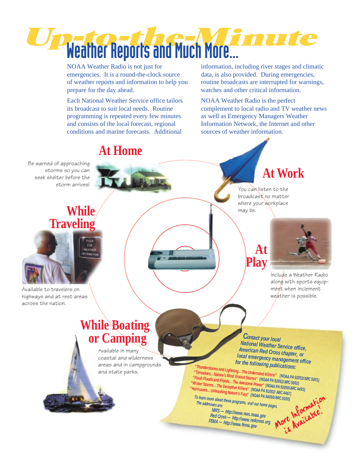

NOAA Weather Radio is not just for emergencies. It is a round-the-clock source of weather reports and information to help you prepare for the day ahead.

Each National Weather Service office tailors its broadcast to suit local needs. Routine programming is repeated every few minutes and consists of the local forecast, regional conditions and marine forecasts. Additional

information, including river stages and climatic data, is also provided. During emergencies, routine broadcasts are interrupted for warnings, watches and other critical information.

NOAA Weather Radio is the perfect complement to local radio and TV weather news as well as Emergency Managers Weather Information Network, the Internet and other sources of weather information.

# **At Home**

Be warned of approaching storms so you can seek shelter before the storm arrives!

# **While Traveling**

FER **VEATHER** 

Available to travelers on highways and at rest areas across the nation.

**At Work**

You can listen to the broadcast no matter where your workplace may be.

## **At Play**



Include a Weather Radio along with sports equipment when inclement weather is possible.

# **While Boating or Camping**

Available in many coastal and wilderness areas and in campgrounds and state parks.

 *<sup>C</sup>ontact your local National Weather Service office, American Red Cross chapter, or local emergency management office for the following publications:*

 *"Thunderstorms and Lightning...The Underrated Killers!" (NOAA PA 92053/ARC 5001) Printendoes...Nature's Most Violent Storms" (NOAA PA 92052/ARC 5002)***<br>"Tornadoes...Nature's Most Violent Storms" (NOAA PA 92052/ARC 5002)** *Plash Floods and Floods...The Awesome Power" (NOAA PA 92050/ARC 4493)***<br>
Winter Storms...The Deceptive Killers" (NOAA PA 92050/ARC 4493)<br>
durricanes...Unleashing Nature's Fury" (NOAA PA 91002/ ARC 4467)<br>
To learn more abo**  *"Winter Storms...The Deceptive Killers" (NOAA PA 91002/ ARC 4467) "Hurricanes...Unleashing Nature's Fury" (NOAA PA 94050/ARC 5030)*

 *To learn more about these programs, visit our home pages. The addresses are:* 

 *NWS — http://www.nws.noaa.gov Red Cross — http://www.redcross.org FEMA — http://www.fema.gov*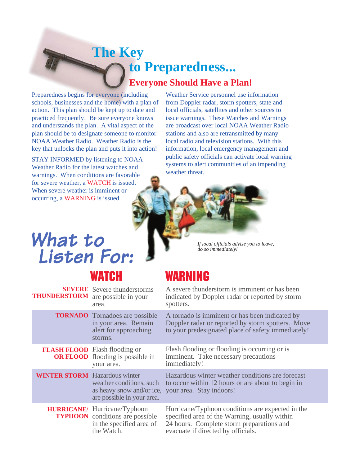# **The Key to Preparedness... Everyone Should Have a Plan!**

Preparedness begins for everyone (including schools, businesses and the home) with a plan of action. This plan should be kept up to date and practiced frequently! Be sure everyone knows and understands the plan. A vital aspect of the plan should be to designate someone to monitor NOAA Weather Radio. Weather Radio is the key that unlocks the plan and puts it into action!

STAY INFORMED by listening to NOAA Weather Radio for the latest watches and warnings. When conditions are favorable for severe weather, a WATCH is issued. When severe weather is imminent or occurring, a WARNING is issued.

Weather Service personnel use information from Doppler radar, storm spotters, state and local officials, satellites and other sources to issue warnings. These Watches and Warnings are broadcast over local NOAA Weather Radio stations and also are retransmitted by many local radio and television stations. With this information, local emergency management and public safety officials can activate local warning systems to alert communities of an impending weather threat.



# What to Listen For:

*If local officials advise you to leave, do so immediately!*

# WATCH WARNING

**SEVERE** Severe thunderstorms **THUNDERSTORM** are possible in your A severe thunderstorm is imminent or has been indicated by Doppler radar or reported by storm spotters. A tornado is imminent or has been indicated by Doppler radar or reported by storm spotters. Move to your predesignated place of safety immediately! Flash flooding or flooding is occurring or is imminent. Take necessary precautions immediately! Hazardous winter weather conditions are forecast to occur within 12 hours or are about to begin in as heavy snow and/or ice, your area. Stay indoors! Hurricane/Typhoon conditions are expected in the specified area of the Warning, usually within 24 hours. Complete storm preparations and evacuate if directed by officials. **TORNADO** Tornadoes are possible **FLASH FLOOD** Flash flooding or **OR FLOOD** flooding is possible in **WINTER STORM** Hazardous winter area. in your area. Remain alert for approaching storms. your area. weather conditions, such are possible in your area. HURRICANE/ Hurricane/Typhoon **TYPHOON** conditions are possible in the specified area of the Watch.